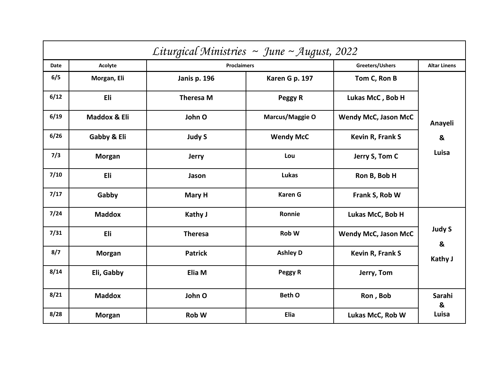|             | Liturgical Ministries ~ June ~ August, 2022 |                     |                  |                             |                     |  |  |  |  |  |
|-------------|---------------------------------------------|---------------------|------------------|-----------------------------|---------------------|--|--|--|--|--|
| <b>Date</b> | Acolyte                                     | <b>Proclaimers</b>  |                  | Greeters/Ushers             | <b>Altar Linens</b> |  |  |  |  |  |
| 6/5         | Morgan, Eli                                 | <b>Janis p. 196</b> | Karen G p. 197   | Tom C, Ron B                |                     |  |  |  |  |  |
| 6/12        | Eli                                         | <b>Theresa M</b>    | Peggy R          | Lukas McC, Bob H            |                     |  |  |  |  |  |
| 6/19        | Maddox & Eli                                | John O              | Marcus/Maggie O  | <b>Wendy McC, Jason McC</b> | Anayeli             |  |  |  |  |  |
| 6/26        | Gabby & Eli                                 | <b>Judy S</b>       | <b>Wendy McC</b> | Kevin R, Frank S            | &                   |  |  |  |  |  |
| 7/3         | <b>Morgan</b>                               | <b>Jerry</b>        | Lou              | Jerry S, Tom C              | Luisa               |  |  |  |  |  |
| 7/10        | Eli                                         | Jason               | Lukas            | Ron B, Bob H                |                     |  |  |  |  |  |
| 7/17        | Gabby                                       | Mary H              | <b>Karen G</b>   | Frank S, Rob W              |                     |  |  |  |  |  |
| 7/24        | <b>Maddox</b>                               | Kathy J             | Ronnie           | Lukas McC, Bob H            |                     |  |  |  |  |  |
| 7/31        | Eli                                         | <b>Theresa</b>      | Rob W            | <b>Wendy McC, Jason McC</b> | <b>Judy S</b><br>&  |  |  |  |  |  |
| 8/7         | <b>Morgan</b>                               | <b>Patrick</b>      | <b>Ashley D</b>  | Kevin R, Frank S            | <b>Kathy J</b>      |  |  |  |  |  |
| 8/14        | Eli, Gabby                                  | Elia M              | Peggy R          | Jerry, Tom                  |                     |  |  |  |  |  |
| 8/21        | <b>Maddox</b>                               | John O              | <b>Beth O</b>    | Ron, Bob                    | Sarahi<br>&         |  |  |  |  |  |
| 8/28        | <b>Morgan</b>                               | Rob W               | Elia             | Lukas McC, Rob W            | Luisa               |  |  |  |  |  |